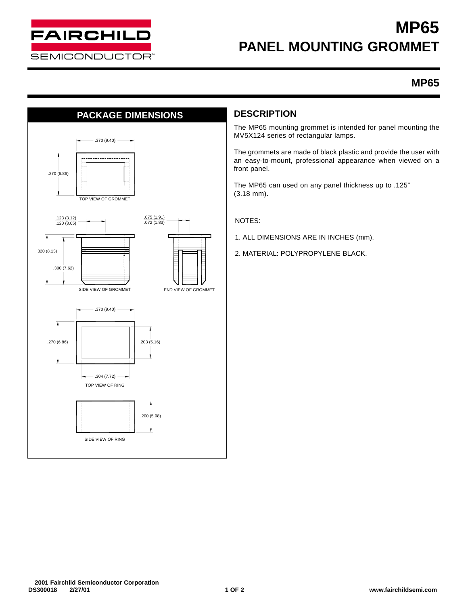

# **MP65 PANEL MOUNTING GROMMET**

## **MP65**



The MP65 mounting grommet is intended for panel mounting the MV5X124 series of rectangular lamps.

The grommets are made of black plastic and provide the user with an easy-to-mount, professional appearance when viewed on a front panel.

The MP65 can used on any panel thickness up to .125" (3.18 mm).

NOTES:

- 1. ALL DIMENSIONS ARE IN INCHES (mm).
- 2. MATERIAL: POLYPROPYLENE BLACK.